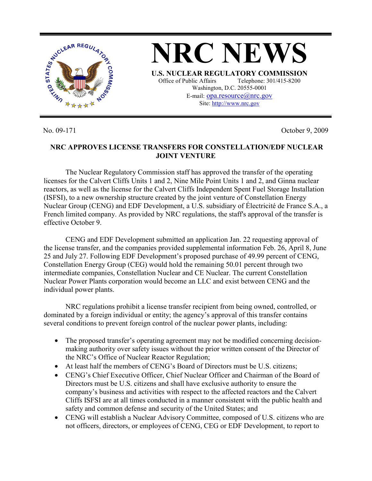

No. 09-171 October 9, 2009

## **NRC APPROVES LICENSE TRANSFERS FOR CONSTELLATION/EDF NUCLEAR JOINT VENTURE**

 The Nuclear Regulatory Commission staff has approved the transfer of the operating licenses for the Calvert Cliffs Units 1 and 2, Nine Mile Point Units 1 and 2, and Ginna nuclear reactors, as well as the license for the Calvert Cliffs Independent Spent Fuel Storage Installation (ISFSI), to a new ownership structure created by the joint venture of Constellation Energy Nuclear Group (CENG) and EDF Development, a U.S. subsidiary of Électricité de France S.A., a French limited company. As provided by NRC regulations, the staff's approval of the transfer is effective October 9.

 CENG and EDF Development submitted an application Jan. 22 requesting approval of the license transfer, and the companies provided supplemental information Feb. 26, April 8, June 25 and July 27. Following EDF Development's proposed purchase of 49.99 percent of CENG, Constellation Energy Group (CEG) would hold the remaining 50.01 percent through two intermediate companies, Constellation Nuclear and CE Nuclear. The current Constellation Nuclear Power Plants corporation would become an LLC and exist between CENG and the individual power plants.

NRC regulations prohibit a license transfer recipient from being owned, controlled, or dominated by a foreign individual or entity; the agency's approval of this transfer contains several conditions to prevent foreign control of the nuclear power plants, including:

- The proposed transfer's operating agreement may not be modified concerning decisionmaking authority over safety issues without the prior written consent of the Director of the NRC's Office of Nuclear Reactor Regulation;
- At least half the members of CENG's Board of Directors must be U.S. citizens;
- CENG's Chief Executive Officer, Chief Nuclear Officer and Chairman of the Board of Directors must be U.S. citizens and shall have exclusive authority to ensure the company's business and activities with respect to the affected reactors and the Calvert Cliffs ISFSI are at all times conducted in a manner consistent with the public health and safety and common defense and security of the United States; and
- CENG will establish a Nuclear Advisory Committee, composed of U.S. citizens who are not officers, directors, or employees of CENG, CEG or EDF Development, to report to